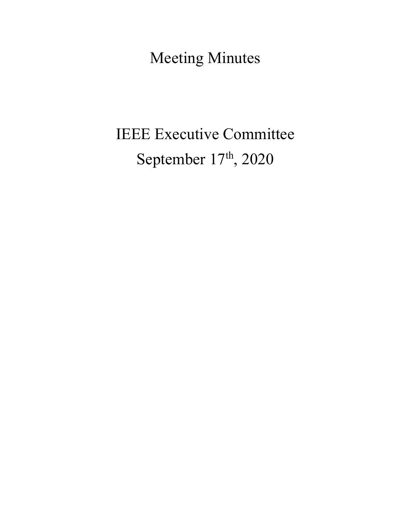Meeting Minutes

# IEEE Executive Committee September 17th, 2020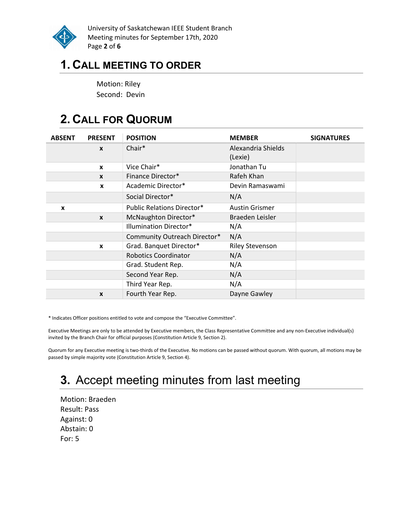

University of Saskatchewan IEEE Student Branch Meeting minutes for September 17th, 2020 Page 2 of 6

### 1. CALL MEETING TO ORDER

Motion: Riley Second: Devin

## 2. CALL FOR QUORUM

| <b>ABSENT</b> | <b>PRESENT</b>   | <b>POSITION</b>                   | <b>MEMBER</b>                 | <b>SIGNATURES</b> |
|---------------|------------------|-----------------------------------|-------------------------------|-------------------|
|               | X                | Chair*                            | Alexandria Shields<br>(Lexie) |                   |
|               | $\boldsymbol{x}$ | Vice Chair*                       | Jonathan Tu                   |                   |
|               | X                | Finance Director*                 | Rafeh Khan                    |                   |
|               | $\mathbf{x}$     | Academic Director*                | Devin Ramaswami               |                   |
|               |                  | Social Director*                  | N/A                           |                   |
| X             |                  | <b>Public Relations Director*</b> | <b>Austin Grismer</b>         |                   |
|               | $\mathbf{x}$     | McNaughton Director*              | Braeden Leisler               |                   |
|               |                  | <b>Illumination Director*</b>     | N/A                           |                   |
|               |                  | Community Outreach Director*      | N/A                           |                   |
|               | X                | Grad. Banquet Director*           | <b>Riley Stevenson</b>        |                   |
|               |                  | Robotics Coordinator              | N/A                           |                   |
|               |                  | Grad. Student Rep.                | N/A                           |                   |
|               |                  | Second Year Rep.                  | N/A                           |                   |
|               |                  | Third Year Rep.                   | N/A                           |                   |
|               | $\boldsymbol{x}$ | Fourth Year Rep.                  | Dayne Gawley                  |                   |

\* Indicates Officer positions entitled to vote and compose the "Executive Committee".

Executive Meetings are only to be attended by Executive members, the Class Representative Committee and any non-Executive individual(s) invited by the Branch Chair for official purposes (Constitution Article 9, Section 2).

Quorum for any Executive meeting is two-thirds of the Executive. No motions can be passed without quorum. With quorum, all motions may be passed by simple majority vote (Constitution Article 9, Section 4).

# 3. Accept meeting minutes from last meeting

Motion: Braeden Result: Pass Against: 0 Abstain: 0 For: 5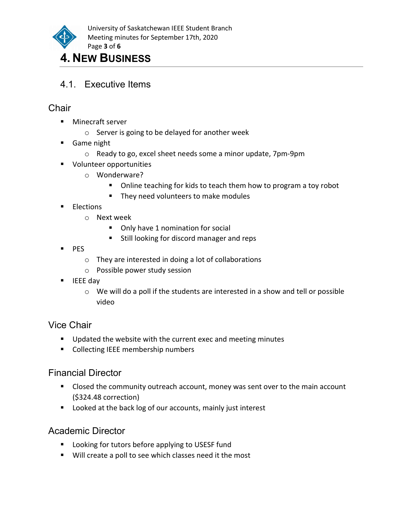

### 4. NEW BUSINESS

4.1. Executive Items

#### **Chair**

- **Minecraft server** 
	- o Server is going to be delayed for another week
- Game night
	- o Ready to go, excel sheet needs some a minor update, 7pm-9pm
- **Volunteer opportunities** 
	- o Wonderware?
		- **Diana 1** Online teaching for kids to teach them how to program a toy robot
		- They need volunteers to make modules
- **Elections** 
	- o Next week
		- Only have 1 nomination for social
		- **Still looking for discord manager and reps**
- $\blacksquare$  PES
	- o They are interested in doing a lot of collaborations
	- o Possible power study session
- $\blacksquare$  IEEE day
	- $\circ$  We will do a poll if the students are interested in a show and tell or possible video

#### Vice Chair

- **Updated the website with the current exec and meeting minutes**
- Collecting IEEE membership numbers

#### Financial Director

- Closed the community outreach account, money was sent over to the main account (\$324.48 correction)
- **Looked at the back log of our accounts, mainly just interest**

#### Academic Director

- **E** Looking for tutors before applying to USESF fund
- Will create a poll to see which classes need it the most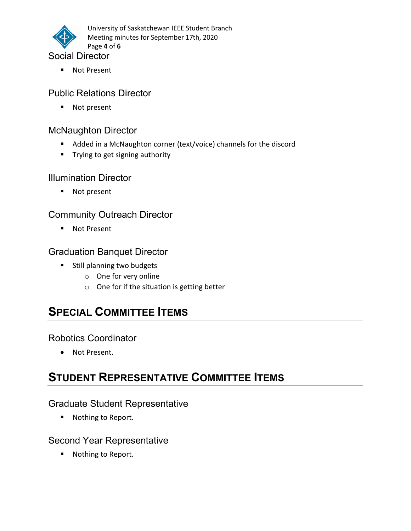

University of Saskatchewan IEEE Student Branch Meeting minutes for September 17th, 2020 Page 4 of 6

Social Director

■ Not Present

#### Public Relations Director

■ Not present

#### McNaughton Director

- Added in a McNaughton corner (text/voice) channels for the discord
- **Trying to get signing authority**

#### Illumination Director

■ Not present

#### Community Outreach Director

■ Not Present

#### Graduation Banquet Director

- **Still planning two budgets** 
	- o One for very online
	- o One for if the situation is getting better

## SPECIAL COMMITTEE ITEMS

#### Robotics Coordinator

Not Present.

### STUDENT REPRESENTATIVE COMMITTEE ITEMS

#### Graduate Student Representative

■ Nothing to Report.

#### Second Year Representative

■ Nothing to Report.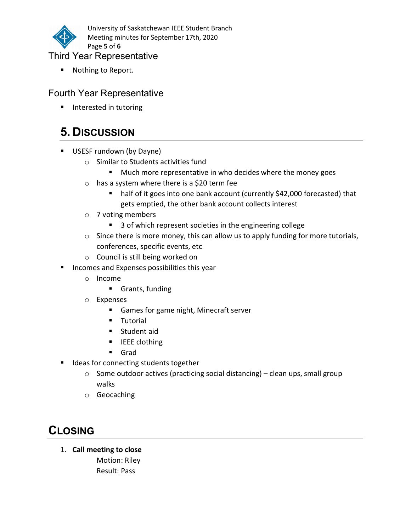

University of Saskatchewan IEEE Student Branch Meeting minutes for September 17th, 2020 Page 5 of 6

#### Third Year Representative

■ Nothing to Report.

#### Fourth Year Representative

**Interested in tutoring** 

## 5. DISCUSSION

- USESF rundown (by Dayne)
	- o Similar to Students activities fund
		- **Much more representative in who decides where the money goes**
	- o has a system where there is a \$20 term fee
		- half of it goes into one bank account (currently \$42,000 forecasted) that gets emptied, the other bank account collects interest
	- o 7 voting members
		- 3 of which represent societies in the engineering college
	- o Since there is more money, this can allow us to apply funding for more tutorials, conferences, specific events, etc
	- o Council is still being worked on
- **Incomes and Expenses possibilities this year** 
	- o Income
		- Grants, funding
	- o Expenses
		- **Games for game night, Minecraft server**
		- **Tutorial**
		- **Student aid**
		- IEEE clothing
		- Grad
- **If** Ideas for connecting students together
	- $\circ$  Some outdoor actives (practicing social distancing) clean ups, small group walks
	- o Geocaching

## **CLOSING**

1. Call meeting to close Motion: Riley Result: Pass